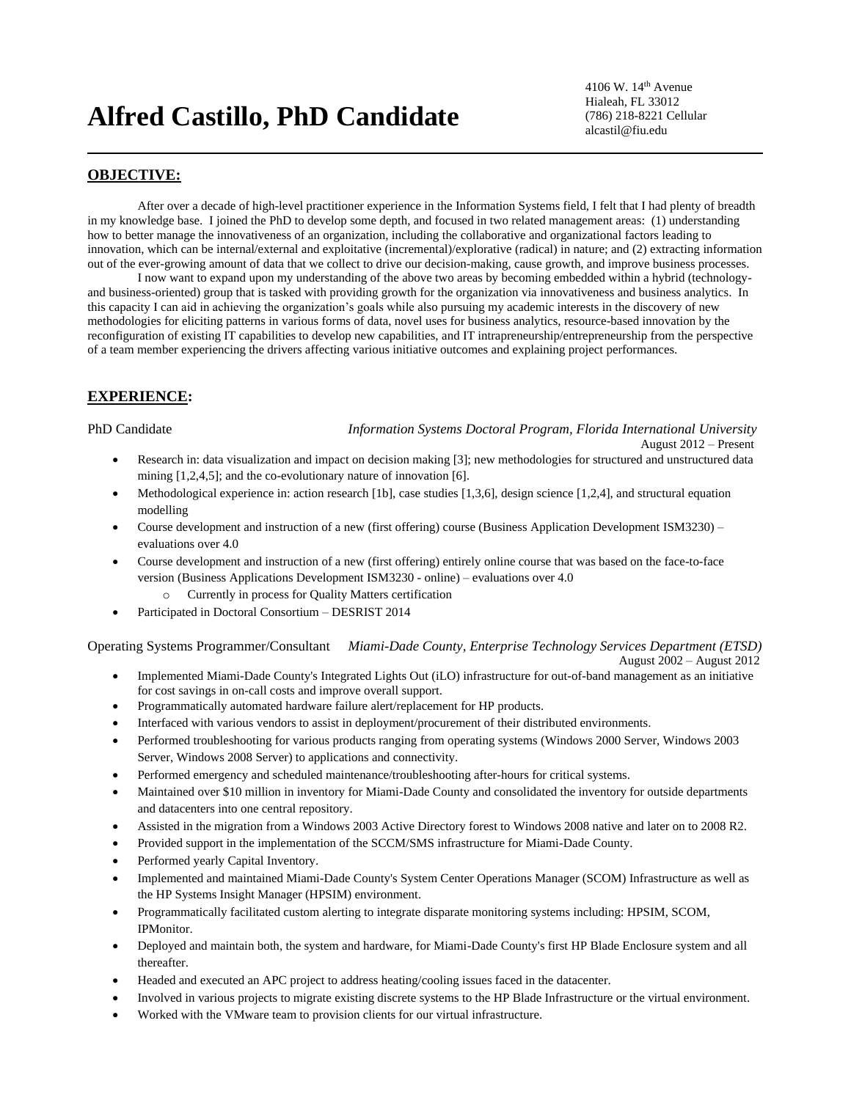# **Alfred Castillo, PhD Candidate**

4106 W. 14th Avenue Hialeah, FL 33012 (786) 218-8221 Cellular alcastil@fiu.edu

### **OBJECTIVE:**

After over a decade of high-level practitioner experience in the Information Systems field, I felt that I had plenty of breadth in my knowledge base. I joined the PhD to develop some depth, and focused in two related management areas: (1) understanding how to better manage the innovativeness of an organization, including the collaborative and organizational factors leading to innovation, which can be internal/external and exploitative (incremental)/explorative (radical) in nature; and (2) extracting information out of the ever-growing amount of data that we collect to drive our decision-making, cause growth, and improve business processes.

I now want to expand upon my understanding of the above two areas by becoming embedded within a hybrid (technologyand business-oriented) group that is tasked with providing growth for the organization via innovativeness and business analytics. In this capacity I can aid in achieving the organization's goals while also pursuing my academic interests in the discovery of new methodologies for eliciting patterns in various forms of data, novel uses for business analytics, resource-based innovation by the reconfiguration of existing IT capabilities to develop new capabilities, and IT intrapreneurship/entrepreneurship from the perspective of a team member experiencing the drivers affecting various initiative outcomes and explaining project performances.

#### **EXPERIENCE:**

PhD Candidate *Information Systems Doctoral Program, Florida International University* August 2012 – Present

- Research in: data visualization and impact on decision making [3]; new methodologies for structured and unstructured data mining [1,2,4,5]; and the co-evolutionary nature of innovation [6].
- Methodological experience in: action research [1b], case studies [1,3,6], design science [1,2,4], and structural equation modelling
- Course development and instruction of a new (first offering) course (Business Application Development ISM3230) evaluations over 4.0
- Course development and instruction of a new (first offering) entirely online course that was based on the face-to-face version (Business Applications Development ISM3230 - online) – evaluations over 4.0
	- o Currently in process for Quality Matters certification
- Participated in Doctoral Consortium DESRIST 2014

Operating Systems Programmer/Consultant *Miami-Dade County, Enterprise Technology Services Department (ETSD)* August 2002 – August 2012

- Implemented Miami-Dade County's Integrated Lights Out (iLO) infrastructure for out-of-band management as an initiative for cost savings in on-call costs and improve overall support.
- Programmatically automated hardware failure alert/replacement for HP products.
- Interfaced with various vendors to assist in deployment/procurement of their distributed environments.
- Performed troubleshooting for various products ranging from operating systems (Windows 2000 Server, Windows 2003 Server, Windows 2008 Server) to applications and connectivity.
- Performed emergency and scheduled maintenance/troubleshooting after-hours for critical systems.
- Maintained over \$10 million in inventory for Miami-Dade County and consolidated the inventory for outside departments and datacenters into one central repository.
- Assisted in the migration from a Windows 2003 Active Directory forest to Windows 2008 native and later on to 2008 R2.
- Provided support in the implementation of the SCCM/SMS infrastructure for Miami-Dade County.
- Performed yearly Capital Inventory.
- Implemented and maintained Miami-Dade County's System Center Operations Manager (SCOM) Infrastructure as well as the HP Systems Insight Manager (HPSIM) environment.
- Programmatically facilitated custom alerting to integrate disparate monitoring systems including: HPSIM, SCOM, IPMonitor.
- Deployed and maintain both, the system and hardware, for Miami-Dade County's first HP Blade Enclosure system and all thereafter.
- Headed and executed an APC project to address heating/cooling issues faced in the datacenter.
- Involved in various projects to migrate existing discrete systems to the HP Blade Infrastructure or the virtual environment.
- Worked with the VMware team to provision clients for our virtual infrastructure.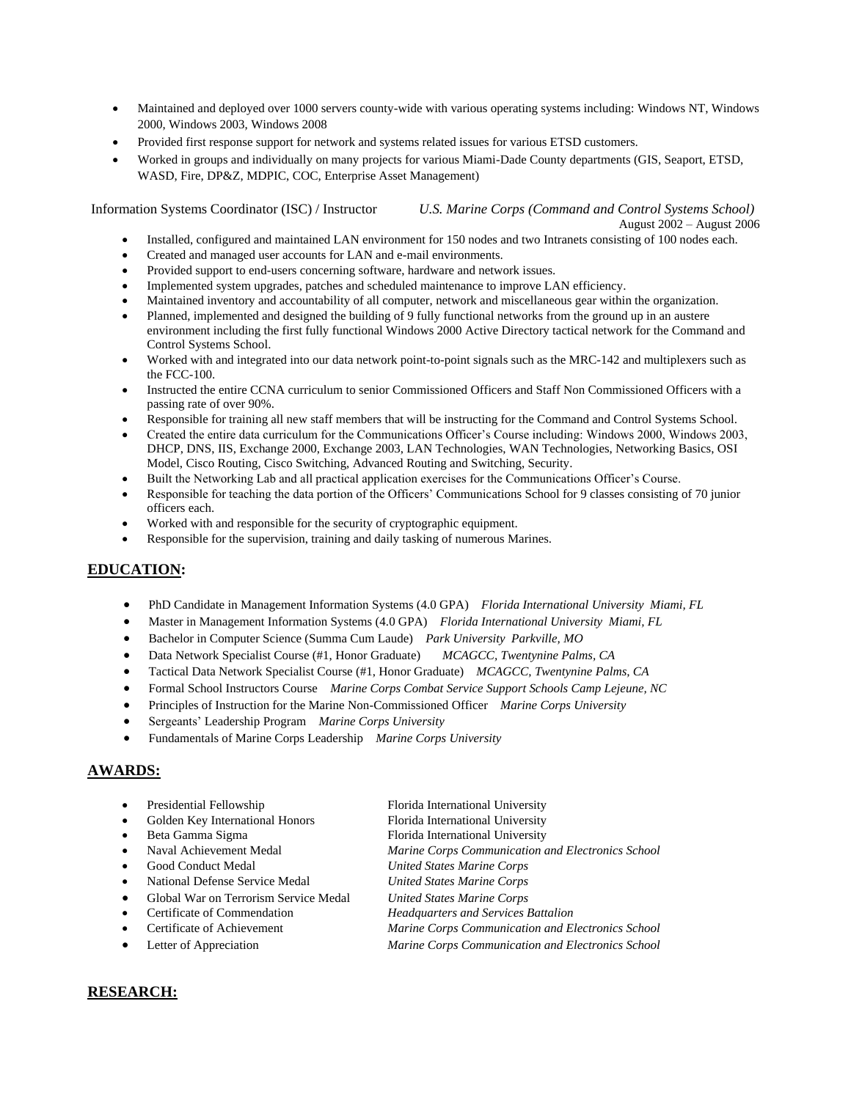- Maintained and deployed over 1000 servers county-wide with various operating systems including: Windows NT, Windows 2000, Windows 2003, Windows 2008
- Provided first response support for network and systems related issues for various ETSD customers.
- Worked in groups and individually on many projects for various Miami-Dade County departments (GIS, Seaport, ETSD, WASD, Fire, DP&Z, MDPIC, COC, Enterprise Asset Management)

Information Systems Coordinator (ISC) / Instructor *U.S. Marine Corps (Command and Control Systems School)* August 2002 – August 2006

- Installed, configured and maintained LAN environment for 150 nodes and two Intranets consisting of 100 nodes each.
- Created and managed user accounts for LAN and e-mail environments.
- Provided support to end-users concerning software, hardware and network issues.
- Implemented system upgrades, patches and scheduled maintenance to improve LAN efficiency.
- Maintained inventory and accountability of all computer, network and miscellaneous gear within the organization.
- Planned, implemented and designed the building of 9 fully functional networks from the ground up in an austere environment including the first fully functional Windows 2000 Active Directory tactical network for the Command and Control Systems School.
- Worked with and integrated into our data network point-to-point signals such as the MRC-142 and multiplexers such as the FCC-100.
- Instructed the entire CCNA curriculum to senior Commissioned Officers and Staff Non Commissioned Officers with a passing rate of over 90%.
- Responsible for training all new staff members that will be instructing for the Command and Control Systems School.
- Created the entire data curriculum for the Communications Officer's Course including: Windows 2000, Windows 2003, DHCP, DNS, IIS, Exchange 2000, Exchange 2003, LAN Technologies, WAN Technologies, Networking Basics, OSI Model, Cisco Routing, Cisco Switching, Advanced Routing and Switching, Security.
- Built the Networking Lab and all practical application exercises for the Communications Officer's Course.
- Responsible for teaching the data portion of the Officers' Communications School for 9 classes consisting of 70 junior officers each.
- Worked with and responsible for the security of cryptographic equipment.
- Responsible for the supervision, training and daily tasking of numerous Marines.

# **EDUCATION:**

- PhD Candidate in Management Information Systems (4.0 GPA) *Florida International University Miami, FL*
- Master in Management Information Systems (4.0 GPA) *Florida International University Miami, FL*
- Bachelor in Computer Science (Summa Cum Laude) *Park University Parkville, MO*
- Data Network Specialist Course (#1, Honor Graduate) *MCAGCC, Twentynine Palms, CA*
- Tactical Data Network Specialist Course (#1, Honor Graduate) *MCAGCC, Twentynine Palms, CA*
- Formal School Instructors Course *Marine Corps Combat Service Support Schools Camp Lejeune, NC*
- Principles of Instruction for the Marine Non-Commissioned Officer *Marine Corps University*
- Sergeants' Leadership Program *Marine Corps University*
- Fundamentals of Marine Corps Leadership *Marine Corps University*

## **AWARDS:**

| Presidential Fellowship               | Florida International University                  |
|---------------------------------------|---------------------------------------------------|
| Golden Key International Honors       | Florida International University                  |
| Beta Gamma Sigma                      | Florida International University                  |
| Naval Achievement Medal               | Marine Corps Communication and Electronics School |
| <b>Good Conduct Medal</b>             | <b>United States Marine Corps</b>                 |
| National Defense Service Medal        | <b>United States Marine Corps</b>                 |
| Global War on Terrorism Service Medal | <b>United States Marine Corps</b>                 |
| Certificate of Commendation           | <b>Headquarters and Services Battalion</b>        |
| Certificate of Achievement            | Marine Corps Communication and Electronics School |
|                                       |                                                   |

Letter of Appreciation *Marine Corps Communication and Electronics School*

## **RESEARCH:**